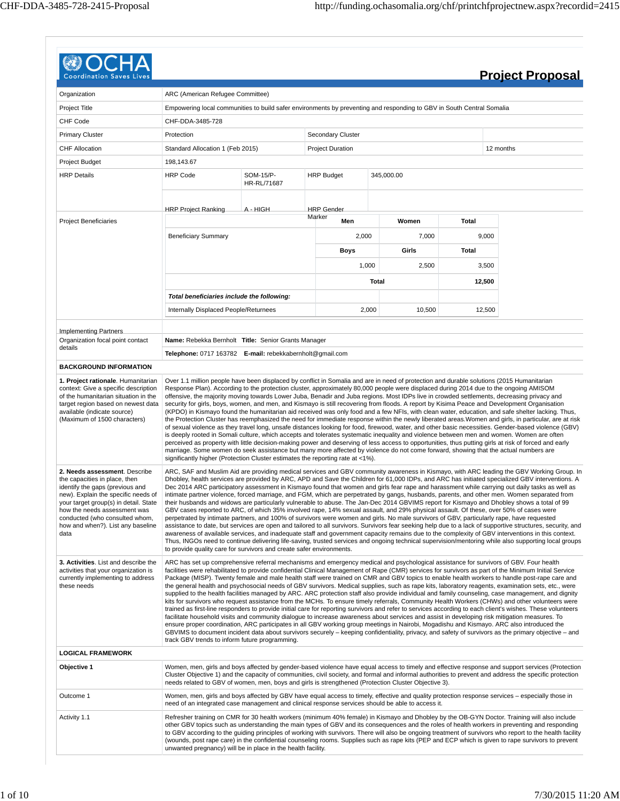| <b>Coordination Saves Li</b>                                                                                                                                                                                                                                                                     |                                                                                                                                                                                                                       |                          |                                    |              |            |        | <b>Project Proposal</b>                                                                                                                                                                                                                                                                                                                                                                                                                                                                                                                                                                                                                                                                                                                                                                                                                                                                                                                                                                                                                                                                                                                                                                                                                                                                                                                                                                                                                                                                                                          |
|--------------------------------------------------------------------------------------------------------------------------------------------------------------------------------------------------------------------------------------------------------------------------------------------------|-----------------------------------------------------------------------------------------------------------------------------------------------------------------------------------------------------------------------|--------------------------|------------------------------------|--------------|------------|--------|----------------------------------------------------------------------------------------------------------------------------------------------------------------------------------------------------------------------------------------------------------------------------------------------------------------------------------------------------------------------------------------------------------------------------------------------------------------------------------------------------------------------------------------------------------------------------------------------------------------------------------------------------------------------------------------------------------------------------------------------------------------------------------------------------------------------------------------------------------------------------------------------------------------------------------------------------------------------------------------------------------------------------------------------------------------------------------------------------------------------------------------------------------------------------------------------------------------------------------------------------------------------------------------------------------------------------------------------------------------------------------------------------------------------------------------------------------------------------------------------------------------------------------|
|                                                                                                                                                                                                                                                                                                  |                                                                                                                                                                                                                       |                          |                                    |              |            |        |                                                                                                                                                                                                                                                                                                                                                                                                                                                                                                                                                                                                                                                                                                                                                                                                                                                                                                                                                                                                                                                                                                                                                                                                                                                                                                                                                                                                                                                                                                                                  |
| Organization                                                                                                                                                                                                                                                                                     | ARC (American Refugee Committee)                                                                                                                                                                                      |                          |                                    |              |            |        |                                                                                                                                                                                                                                                                                                                                                                                                                                                                                                                                                                                                                                                                                                                                                                                                                                                                                                                                                                                                                                                                                                                                                                                                                                                                                                                                                                                                                                                                                                                                  |
| Project Title                                                                                                                                                                                                                                                                                    | Empowering local communities to build safer environments by preventing and responding to GBV in South Central Somalia                                                                                                 |                          |                                    |              |            |        |                                                                                                                                                                                                                                                                                                                                                                                                                                                                                                                                                                                                                                                                                                                                                                                                                                                                                                                                                                                                                                                                                                                                                                                                                                                                                                                                                                                                                                                                                                                                  |
| CHF Code                                                                                                                                                                                                                                                                                         | CHF-DDA-3485-728                                                                                                                                                                                                      |                          |                                    |              |            |        |                                                                                                                                                                                                                                                                                                                                                                                                                                                                                                                                                                                                                                                                                                                                                                                                                                                                                                                                                                                                                                                                                                                                                                                                                                                                                                                                                                                                                                                                                                                                  |
| <b>Primary Cluster</b>                                                                                                                                                                                                                                                                           | Protection                                                                                                                                                                                                            |                          | Secondary Cluster                  |              |            |        |                                                                                                                                                                                                                                                                                                                                                                                                                                                                                                                                                                                                                                                                                                                                                                                                                                                                                                                                                                                                                                                                                                                                                                                                                                                                                                                                                                                                                                                                                                                                  |
| <b>CHF Allocation</b>                                                                                                                                                                                                                                                                            | Standard Allocation 1 (Feb 2015)                                                                                                                                                                                      |                          | <b>Project Duration</b>            |              |            |        | 12 months                                                                                                                                                                                                                                                                                                                                                                                                                                                                                                                                                                                                                                                                                                                                                                                                                                                                                                                                                                                                                                                                                                                                                                                                                                                                                                                                                                                                                                                                                                                        |
| Project Budget                                                                                                                                                                                                                                                                                   | 198,143.67                                                                                                                                                                                                            |                          |                                    |              |            |        |                                                                                                                                                                                                                                                                                                                                                                                                                                                                                                                                                                                                                                                                                                                                                                                                                                                                                                                                                                                                                                                                                                                                                                                                                                                                                                                                                                                                                                                                                                                                  |
| <b>HRP Details</b>                                                                                                                                                                                                                                                                               | <b>HRP Code</b>                                                                                                                                                                                                       | SOM-15/P-<br>HR-RL/71687 | <b>HRP Budget</b>                  |              | 345,000.00 |        |                                                                                                                                                                                                                                                                                                                                                                                                                                                                                                                                                                                                                                                                                                                                                                                                                                                                                                                                                                                                                                                                                                                                                                                                                                                                                                                                                                                                                                                                                                                                  |
| <b>Project Beneficiaries</b>                                                                                                                                                                                                                                                                     | <b>HRP Project Ranking</b>                                                                                                                                                                                            | A - HIGH                 | <b>HRP</b> Gender<br>Marker<br>Men |              | Women      | Total  |                                                                                                                                                                                                                                                                                                                                                                                                                                                                                                                                                                                                                                                                                                                                                                                                                                                                                                                                                                                                                                                                                                                                                                                                                                                                                                                                                                                                                                                                                                                                  |
|                                                                                                                                                                                                                                                                                                  |                                                                                                                                                                                                                       |                          |                                    |              |            |        |                                                                                                                                                                                                                                                                                                                                                                                                                                                                                                                                                                                                                                                                                                                                                                                                                                                                                                                                                                                                                                                                                                                                                                                                                                                                                                                                                                                                                                                                                                                                  |
|                                                                                                                                                                                                                                                                                                  | <b>Beneficiary Summary</b>                                                                                                                                                                                            |                          |                                    | 2,000        | 7,000      | 9,000  |                                                                                                                                                                                                                                                                                                                                                                                                                                                                                                                                                                                                                                                                                                                                                                                                                                                                                                                                                                                                                                                                                                                                                                                                                                                                                                                                                                                                                                                                                                                                  |
|                                                                                                                                                                                                                                                                                                  |                                                                                                                                                                                                                       |                          | Boys                               |              | Girls      | Total  |                                                                                                                                                                                                                                                                                                                                                                                                                                                                                                                                                                                                                                                                                                                                                                                                                                                                                                                                                                                                                                                                                                                                                                                                                                                                                                                                                                                                                                                                                                                                  |
|                                                                                                                                                                                                                                                                                                  |                                                                                                                                                                                                                       |                          |                                    | 1,000        | 2,500      | 3,500  |                                                                                                                                                                                                                                                                                                                                                                                                                                                                                                                                                                                                                                                                                                                                                                                                                                                                                                                                                                                                                                                                                                                                                                                                                                                                                                                                                                                                                                                                                                                                  |
|                                                                                                                                                                                                                                                                                                  |                                                                                                                                                                                                                       |                          |                                    | <b>Total</b> |            | 12,500 |                                                                                                                                                                                                                                                                                                                                                                                                                                                                                                                                                                                                                                                                                                                                                                                                                                                                                                                                                                                                                                                                                                                                                                                                                                                                                                                                                                                                                                                                                                                                  |
|                                                                                                                                                                                                                                                                                                  | Total beneficiaries include the following:                                                                                                                                                                            |                          |                                    |              |            |        |                                                                                                                                                                                                                                                                                                                                                                                                                                                                                                                                                                                                                                                                                                                                                                                                                                                                                                                                                                                                                                                                                                                                                                                                                                                                                                                                                                                                                                                                                                                                  |
|                                                                                                                                                                                                                                                                                                  | Internally Displaced People/Returnees                                                                                                                                                                                 |                          |                                    | 2,000        | 10,500     | 12,500 |                                                                                                                                                                                                                                                                                                                                                                                                                                                                                                                                                                                                                                                                                                                                                                                                                                                                                                                                                                                                                                                                                                                                                                                                                                                                                                                                                                                                                                                                                                                                  |
| <b>Implementing Partners</b>                                                                                                                                                                                                                                                                     |                                                                                                                                                                                                                       |                          |                                    |              |            |        |                                                                                                                                                                                                                                                                                                                                                                                                                                                                                                                                                                                                                                                                                                                                                                                                                                                                                                                                                                                                                                                                                                                                                                                                                                                                                                                                                                                                                                                                                                                                  |
| Organization focal point contact<br>details                                                                                                                                                                                                                                                      | Name: Rebekka Bernholt Title: Senior Grants Manager                                                                                                                                                                   |                          |                                    |              |            |        |                                                                                                                                                                                                                                                                                                                                                                                                                                                                                                                                                                                                                                                                                                                                                                                                                                                                                                                                                                                                                                                                                                                                                                                                                                                                                                                                                                                                                                                                                                                                  |
|                                                                                                                                                                                                                                                                                                  | Telephone: 0717 163782 E-mail: rebekkabernholt@gmail.com                                                                                                                                                              |                          |                                    |              |            |        |                                                                                                                                                                                                                                                                                                                                                                                                                                                                                                                                                                                                                                                                                                                                                                                                                                                                                                                                                                                                                                                                                                                                                                                                                                                                                                                                                                                                                                                                                                                                  |
| available (indicate source)<br>(Maximum of 1500 characters)                                                                                                                                                                                                                                      | marriage. Some women do seek assistance but many more affected by violence do not come forward, showing that the actual numbers are<br>significantly higher (Protection Cluster estimates the reporting rate at <1%). |                          |                                    |              |            |        | (KPDO) in Kismayo found the humanitarian aid received was only food and a few NFIs, with clean water, education, and safe shelter lacking. Thus,<br>the Protection Cluster has reemphasized the need for immediate response within the newly liberated areas. Women and girls, in particular, are at risk<br>of sexual violence as they travel long, unsafe distances looking for food, firewood, water, and other basic necessities. Gender-based violence (GBV)<br>is deeply rooted in Somali culture, which accepts and tolerates systematic inequality and violence between men and women. Women are often<br>perceived as property with little decision-making power and deserving of less access to opportunities, thus putting girls at risk of forced and early                                                                                                                                                                                                                                                                                                                                                                                                                                                                                                                                                                                                                                                                                                                                                          |
| 2. Needs assessment. Describe<br>the capacities in place, then<br>identify the gaps (previous and<br>new). Explain the specific needs of<br>your target group(s) in detail. State<br>how the needs assessment was<br>conducted (who consulted whom,<br>how and when?). List any baseline<br>data | to provide quality care for survivors and create safer environments.                                                                                                                                                  |                          |                                    |              |            |        | ARC, SAF and Muslim Aid are providing medical services and GBV community awareness in Kismayo, with ARC leading the GBV Working Group. In<br>Dhobley, health services are provided by ARC, APD and Save the Children for 61,000 IDPs, and ARC has initiated specialized GBV interventions. A<br>Dec 2014 ARC participatory assessment in Kismayo found that women and girls fear rape and harassment while carrying out daily tasks as well as<br>intimate partner violence, forced marriage, and FGM, which are perpetrated by gangs, husbands, parents, and other men. Women separated from<br>their husbands and widows are particularly vulnerable to abuse. The Jan-Dec 2014 GBVIMS report for Kismayo and Dhobley shows a total of 99<br>GBV cases reported to ARC, of which 35% involved rape, 14% sexual assault, and 29% physical assault. Of these, over 50% of cases were<br>perpetrated by intimate partners, and 100% of survivors were women and girls. No male survivors of GBV, particularly rape, have requested<br>assistance to date, but services are open and tailored to all survivors. Survivors fear seeking help due to a lack of supportive structures, security, and<br>awareness of available services, and inadequate staff and government capacity remains due to the complexity of GBV interventions in this context.<br>Thus, INGOs need to continue delivering life-saving, trusted services and ongoing technical supervision/mentoring while also supporting local groups                     |
| 3. Activities. List and describe the<br>activities that your organization is<br>currently implementing to address<br>these needs                                                                                                                                                                 | track GBV trends to inform future programming.                                                                                                                                                                        |                          |                                    |              |            |        | ARC has set up comprehensive referral mechanisms and emergency medical and psychological assistance for survivors of GBV. Four health<br>facilities were rehabilitated to provide confidential Clinical Management of Rape (CMR) services for survivors as part of the Minimum Initial Service<br>Package (MISP). Twenty female and male health staff were trained on CMR and GBV topics to enable health workers to handle post-rape care and<br>the general health and psychosocial needs of GBV survivors. Medical supplies, such as rape kits, laboratory reagents, examination sets, etc., were<br>supplied to the health facilities managed by ARC. ARC protection staff also provide individual and family counseling, case management, and dignity<br>kits for survivors who request assistance from the MCHs. To ensure timely referrals, Community Health Workers (CHWs) and other volunteers were<br>trained as first-line responders to provide initial care for reporting survivors and refer to services according to each client's wishes. These volunteers<br>facilitate household visits and community dialogue to increase awareness about services and assist in developing risk mitigation measures. To<br>ensure proper coordination, ARC participates in all GBV working group meetings in Nairobi, Mogadishu and Kismayo. ARC also introduced the<br>GBVIMS to document incident data about survivors securely – keeping confidentiality, privacy, and safety of survivors as the primary objective – and |
| <b>LOGICAL FRAMEWORK</b>                                                                                                                                                                                                                                                                         |                                                                                                                                                                                                                       |                          |                                    |              |            |        |                                                                                                                                                                                                                                                                                                                                                                                                                                                                                                                                                                                                                                                                                                                                                                                                                                                                                                                                                                                                                                                                                                                                                                                                                                                                                                                                                                                                                                                                                                                                  |
| Objective 1                                                                                                                                                                                                                                                                                      | needs related to GBV of women, men, boys and girls is strengthened (Protection Cluster Objective 3).                                                                                                                  |                          |                                    |              |            |        | Women, men, girls and boys affected by gender-based violence have equal access to timely and effective response and support services (Protection<br>Cluster Objective 1) and the capacity of communities, civil society, and formal and informal authorities to prevent and address the specific protection                                                                                                                                                                                                                                                                                                                                                                                                                                                                                                                                                                                                                                                                                                                                                                                                                                                                                                                                                                                                                                                                                                                                                                                                                      |
| Outcome 1                                                                                                                                                                                                                                                                                        | need of an integrated case management and clinical response services should be able to access it.                                                                                                                     |                          |                                    |              |            |        | Women, men, girls and boys affected by GBV have equal access to timely, effective and quality protection response services – especially those in                                                                                                                                                                                                                                                                                                                                                                                                                                                                                                                                                                                                                                                                                                                                                                                                                                                                                                                                                                                                                                                                                                                                                                                                                                                                                                                                                                                 |
| Activity 1.1                                                                                                                                                                                                                                                                                     | unwanted pregnancy) will be in place in the health facility.                                                                                                                                                          |                          |                                    |              |            |        | Refresher training on CMR for 30 health workers (minimum 40% female) in Kismayo and Dhobley by the OB-GYN Doctor. Training will also include<br>other GBV topics such as understanding the main types of GBV and its consequences and the roles of health workers in preventing and responding<br>to GBV according to the guiding principles of working with survivors. There will also be ongoing treatment of survivors who report to the health facility<br>(wounds, post rape care) in the confidential counseling rooms. Supplies such as rape kits (PEP and ECP which is given to rape survivors to prevent                                                                                                                                                                                                                                                                                                                                                                                                                                                                                                                                                                                                                                                                                                                                                                                                                                                                                                                |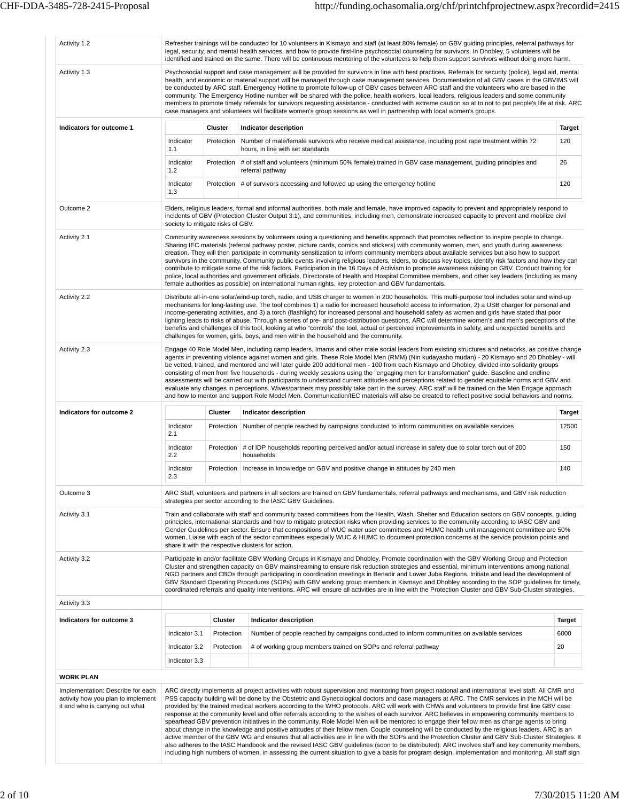| Activity 1.2                                                                                               |                                                                                                       |                | Refresher trainings will be conducted for 10 volunteers in Kismayo and staff (at least 80% female) on GBV guiding principles, referral pathways for<br>legal, security, and mental health services, and how to provide first-line psychosocial counseling for survivors. In Dhobley, 5 volunteers will be<br>identified and trained on the same. There will be continuous mentoring of the volunteers to help them support survivors without doing more harm.                                                                                                                                                                                                                                                                                                                                                                                                                                                                                                                                                                                                                                                                                                                                                                                                                                                                                                                |               |  |  |  |  |
|------------------------------------------------------------------------------------------------------------|-------------------------------------------------------------------------------------------------------|----------------|------------------------------------------------------------------------------------------------------------------------------------------------------------------------------------------------------------------------------------------------------------------------------------------------------------------------------------------------------------------------------------------------------------------------------------------------------------------------------------------------------------------------------------------------------------------------------------------------------------------------------------------------------------------------------------------------------------------------------------------------------------------------------------------------------------------------------------------------------------------------------------------------------------------------------------------------------------------------------------------------------------------------------------------------------------------------------------------------------------------------------------------------------------------------------------------------------------------------------------------------------------------------------------------------------------------------------------------------------------------------------|---------------|--|--|--|--|
| Activity 1.3                                                                                               |                                                                                                       |                | Psychosocial support and case management will be provided for survivors in line with best practices. Referrals for security (police), legal aid, mental<br>health, and economic or material support will be managed through case management services. Documentation of all GBV cases in the GBVIMS will<br>be conducted by ARC staff. Emergency Hotline to promote follow-up of GBV cases between ARC staff and the volunteers who are based in the<br>community. The Emergency Hotline number will be shared with the police, health workers, local leaders, religious leaders and some community<br>members to promote timely referrals for survivors requesting assistance - conducted with extreme caution so at to not to put people's life at risk. ARC<br>case managers and volunteers will facilitate women's group sessions as well in partnership with local women's groups.                                                                                                                                                                                                                                                                                                                                                                                                                                                                                       |               |  |  |  |  |
| Indicators for outcome 1                                                                                   |                                                                                                       | Cluster        | Indicator description                                                                                                                                                                                                                                                                                                                                                                                                                                                                                                                                                                                                                                                                                                                                                                                                                                                                                                                                                                                                                                                                                                                                                                                                                                                                                                                                                        | <b>Target</b> |  |  |  |  |
|                                                                                                            | Indicator<br>1.1                                                                                      | Protection     | Number of male/female survivors who receive medical assistance, including post rape treatment within 72<br>hours, in line with set standards                                                                                                                                                                                                                                                                                                                                                                                                                                                                                                                                                                                                                                                                                                                                                                                                                                                                                                                                                                                                                                                                                                                                                                                                                                 | 120           |  |  |  |  |
|                                                                                                            | Indicator<br>1.2                                                                                      | Protection     | # of staff and volunteers (minimum 50% female) trained in GBV case management, quiding principles and<br>referral pathway                                                                                                                                                                                                                                                                                                                                                                                                                                                                                                                                                                                                                                                                                                                                                                                                                                                                                                                                                                                                                                                                                                                                                                                                                                                    | 26            |  |  |  |  |
|                                                                                                            | Indicator<br>Protection   # of survivors accessing and followed up using the emergency hotline<br>1.3 |                |                                                                                                                                                                                                                                                                                                                                                                                                                                                                                                                                                                                                                                                                                                                                                                                                                                                                                                                                                                                                                                                                                                                                                                                                                                                                                                                                                                              |               |  |  |  |  |
| Outcome 2                                                                                                  | society to mitigate risks of GBV.                                                                     |                | Elders, religious leaders, formal and informal authorities, both male and female, have improved capacity to prevent and appropriately respond to<br>incidents of GBV (Protection Cluster Output 3.1), and communities, including men, demonstrate increased capacity to prevent and mobilize civil                                                                                                                                                                                                                                                                                                                                                                                                                                                                                                                                                                                                                                                                                                                                                                                                                                                                                                                                                                                                                                                                           |               |  |  |  |  |
| Activity 2.1                                                                                               |                                                                                                       |                | Community awareness sessions by volunteers using a questioning and benefits approach that promotes reflection to inspire people to change.<br>Sharing IEC materials (referral pathway poster, picture cards, comics and stickers) with community women, men, and youth during awareness<br>creation. They will then participate in community sensitization to inform community members about available services but also how to support<br>survivors in the community. Community public events involving religious leaders, elders, to discuss key topics, identify risk factors and how they can<br>contribute to mitigate some of the risk factors. Participation in the 16 Days of Activism to promote awareness raising on GBV. Conduct training for<br>police, local authorities and government officials, Directorate of Health and Hospital Committee members, and other key leaders (including as many<br>female authorities as possible) on international human rights, key protection and GBV fundamentals.                                                                                                                                                                                                                                                                                                                                                        |               |  |  |  |  |
| Activity 2.2                                                                                               |                                                                                                       |                | Distribute all-in-one solar/wind-up torch, radio, and USB charger to women in 200 households. This multi-purpose tool includes solar and wind-up<br>mechanisms for long-lasting use. The tool combines 1) a radio for increased household access to information, 2) a USB charger for personal and<br>income-generating activities, and 3) a torch (flashlight) for increased personal and household safety as women and girls have stated that poor<br>lighting leads to risks of abuse. Through a series of pre- and post-distribution questions, ARC will determine women's and men's perceptions of the<br>benefits and challenges of this tool, looking at who "controls" the tool, actual or perceived improvements in safety, and unexpected benefits and<br>challenges for women, girls, boys, and men within the household and the community.                                                                                                                                                                                                                                                                                                                                                                                                                                                                                                                       |               |  |  |  |  |
| Activity 2.3                                                                                               |                                                                                                       |                | Engage 40 Role Model Men, including camp leaders, Imams and other male social leaders from existing structures and networks, as positive change<br>agents in preventing violence against women and girls. These Role Model Men (RMM) (Nin kudayasho mudan) - 20 Kismayo and 20 Dhobley - will<br>be vetted, trained, and mentored and will later guide 200 additional men - 100 from each Kismayo and Dhobley, divided into solidarity groups<br>consisting of men from five households - during weekly sessions using the "engaging men for transformation" guide. Baseline and endline<br>assessments will be carried out with participants to understand current attitudes and perceptions related to gender equitable norms and GBV and<br>evaluate any changes in perceptions. Wives/partners may possibly take part in the survey. ARC staff will be trained on the Men Engage approach<br>and how to mentor and support Role Model Men. Communication/IEC materials will also be created to reflect positive social behaviors and norms.                                                                                                                                                                                                                                                                                                                              |               |  |  |  |  |
| Indicators for outcome 2                                                                                   |                                                                                                       | Cluster        | Indicator description                                                                                                                                                                                                                                                                                                                                                                                                                                                                                                                                                                                                                                                                                                                                                                                                                                                                                                                                                                                                                                                                                                                                                                                                                                                                                                                                                        | Target        |  |  |  |  |
|                                                                                                            | Indicator<br>2.1                                                                                      | Protection     | Number of people reached by campaigns conducted to inform communities on available services                                                                                                                                                                                                                                                                                                                                                                                                                                                                                                                                                                                                                                                                                                                                                                                                                                                                                                                                                                                                                                                                                                                                                                                                                                                                                  | 12500         |  |  |  |  |
|                                                                                                            | Indicator<br>2.2                                                                                      | Protection     | # of IDP households reporting perceived and/or actual increase in safety due to solar torch out of 200<br>households                                                                                                                                                                                                                                                                                                                                                                                                                                                                                                                                                                                                                                                                                                                                                                                                                                                                                                                                                                                                                                                                                                                                                                                                                                                         | 150           |  |  |  |  |
|                                                                                                            | Indicator<br>2.3                                                                                      | Protection     | Increase in knowledge on GBV and positive change in attitudes by 240 men                                                                                                                                                                                                                                                                                                                                                                                                                                                                                                                                                                                                                                                                                                                                                                                                                                                                                                                                                                                                                                                                                                                                                                                                                                                                                                     | 140           |  |  |  |  |
| Outcome 3                                                                                                  |                                                                                                       |                | ARC Staff, volunteers and partners in all sectors are trained on GBV fundamentals, referral pathways and mechanisms, and GBV risk reduction<br>strategies per sector according to the IASC GBV Guidelines.                                                                                                                                                                                                                                                                                                                                                                                                                                                                                                                                                                                                                                                                                                                                                                                                                                                                                                                                                                                                                                                                                                                                                                   |               |  |  |  |  |
| Activity 3.1                                                                                               |                                                                                                       |                | Train and collaborate with staff and community based committees from the Health, Wash, Shelter and Education sectors on GBV concepts, guiding<br>principles, international standards and how to mitigate protection risks when providing services to the community according to IASC GBV and<br>Gender Guidelines per sector. Ensure that compositions of WUC water user committees and HUMC health unit management committee are 50%<br>women. Liaise with each of the sector committees especially WUC & HUMC to document protection concerns at the service provision points and<br>share it with the respective clusters for action.                                                                                                                                                                                                                                                                                                                                                                                                                                                                                                                                                                                                                                                                                                                                     |               |  |  |  |  |
| Activity 3.2                                                                                               |                                                                                                       |                | Participate in and/or facilitate GBV Working Groups in Kismayo and Dhobley. Promote coordination with the GBV Working Group and Protection<br>Cluster and strengthen capacity on GBV mainstreaming to ensure risk reduction strategies and essential, minimum interventions among national<br>NGO partners and CBOs through participating in coordination meetings in Benadir and Lower Juba Regions. Initiate and lead the development of<br>GBV Standard Operating Procedures (SOPs) with GBV working group members in Kismayo and Dhobley according to the SOP quidelines for timely,<br>coordinated referrals and quality interventions. ARC will ensure all activities are in line with the Protection Cluster and GBV Sub-Cluster strategies.                                                                                                                                                                                                                                                                                                                                                                                                                                                                                                                                                                                                                          |               |  |  |  |  |
| Activity 3.3                                                                                               |                                                                                                       |                |                                                                                                                                                                                                                                                                                                                                                                                                                                                                                                                                                                                                                                                                                                                                                                                                                                                                                                                                                                                                                                                                                                                                                                                                                                                                                                                                                                              |               |  |  |  |  |
| Indicators for outcome 3                                                                                   |                                                                                                       | <b>Cluster</b> | Indicator description                                                                                                                                                                                                                                                                                                                                                                                                                                                                                                                                                                                                                                                                                                                                                                                                                                                                                                                                                                                                                                                                                                                                                                                                                                                                                                                                                        | <b>Target</b> |  |  |  |  |
|                                                                                                            | Indicator 3.1                                                                                         | Protection     | Number of people reached by campaigns conducted to inform communities on available services                                                                                                                                                                                                                                                                                                                                                                                                                                                                                                                                                                                                                                                                                                                                                                                                                                                                                                                                                                                                                                                                                                                                                                                                                                                                                  | 6000          |  |  |  |  |
|                                                                                                            | Indicator 3.2                                                                                         | Protection     | # of working group members trained on SOPs and referral pathway                                                                                                                                                                                                                                                                                                                                                                                                                                                                                                                                                                                                                                                                                                                                                                                                                                                                                                                                                                                                                                                                                                                                                                                                                                                                                                              | 20            |  |  |  |  |
|                                                                                                            | Indicator 3.3                                                                                         |                |                                                                                                                                                                                                                                                                                                                                                                                                                                                                                                                                                                                                                                                                                                                                                                                                                                                                                                                                                                                                                                                                                                                                                                                                                                                                                                                                                                              |               |  |  |  |  |
| <b>WORK PLAN</b>                                                                                           |                                                                                                       |                |                                                                                                                                                                                                                                                                                                                                                                                                                                                                                                                                                                                                                                                                                                                                                                                                                                                                                                                                                                                                                                                                                                                                                                                                                                                                                                                                                                              |               |  |  |  |  |
| Implementation: Describe for each<br>activity how you plan to implement<br>it and who is carrying out what |                                                                                                       |                | ARC directly implements all project activities with robust supervision and monitoring from project national and international level staff. All CMR and<br>PSS capacity building will be done by the Obstetric and Gynecological doctors and case managers at ARC. The CMR services in the MCH will be<br>provided by the trained medical workers according to the WHO protocols. ARC will work with CHWs and volunteers to provide first line GBV case<br>response at the community level and offer referrals according to the wishes of each survivor. ARC believes in empowering community members to<br>spearhead GBV prevention initiatives in the community. Role Model Men will be mentored to engage their fellow men as change agents to bring<br>about change in the knowledge and positive attitudes of their fellow men. Couple counseling will be conducted by the religious leaders. ARC is an<br>active member of the GBV WG and ensures that all activities are in line with the SOPs and the Protection Cluster and GBV Sub-Cluster Strategies. It<br>also adheres to the IASC Handbook and the revised IASC GBV guidelines (soon to be distributed). ARC involves staff and key community members,<br>including high numbers of women, in assessing the current situation to give a basis for program design, implementation and monitoring. All staff sign |               |  |  |  |  |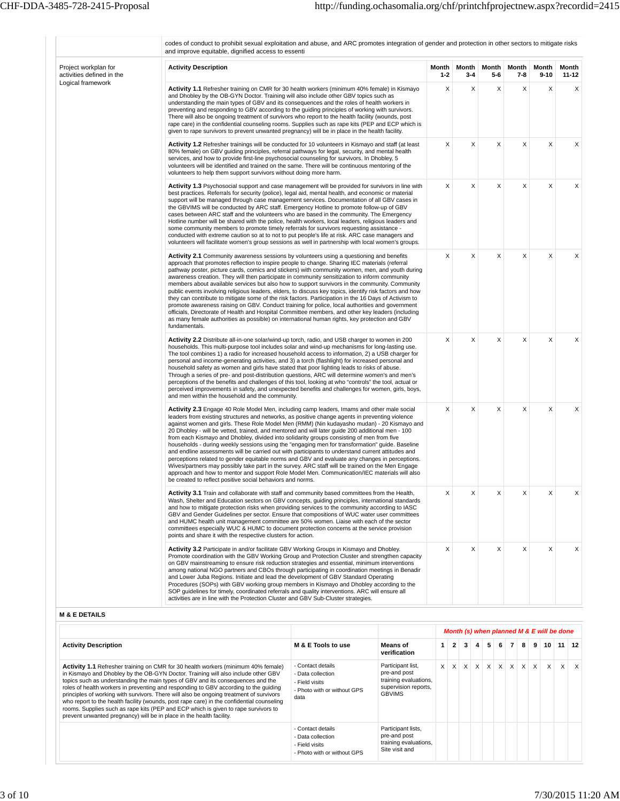| Project workplan for                           | and improve equitable, dignified access to essenti<br><b>Activity Description</b>                                                                                                                                                                                                                                                                                                                                                                                                                                                                                                                                                                                                                                                                                                                                                                                                                                                                                                                                                                                        | Month        | Month        | Month      | Month        | Month         | Month          |
|------------------------------------------------|--------------------------------------------------------------------------------------------------------------------------------------------------------------------------------------------------------------------------------------------------------------------------------------------------------------------------------------------------------------------------------------------------------------------------------------------------------------------------------------------------------------------------------------------------------------------------------------------------------------------------------------------------------------------------------------------------------------------------------------------------------------------------------------------------------------------------------------------------------------------------------------------------------------------------------------------------------------------------------------------------------------------------------------------------------------------------|--------------|--------------|------------|--------------|---------------|----------------|
| activities defined in the<br>Logical framework | Activity 1.1 Refresher training on CMR for 30 health workers (minimum 40% female) in Kismayo<br>and Dhobley by the OB-GYN Doctor. Training will also include other GBV topics such as<br>understanding the main types of GBV and its consequences and the roles of health workers in<br>preventing and responding to GBV according to the guiding principles of working with survivors.<br>There will also be ongoing treatment of survivors who report to the health facility (wounds, post<br>rape care) in the confidential counseling rooms. Supplies such as rape kits (PEP and ECP which is<br>given to rape survivors to prevent unwanted pregnancy) will be in place in the health facility.                                                                                                                                                                                                                                                                                                                                                                     | $1 - 2$<br>X | $3 - 4$<br>X | $5-6$<br>X | $7 - 8$<br>X | $9 - 10$<br>X | $11 - 12$<br>X |
|                                                | <b>Activity 1.2</b> Refresher trainings will be conducted for 10 volunteers in Kismayo and staff (at least<br>80% female) on GBV guiding principles, referral pathways for legal, security, and mental health<br>services, and how to provide first-line psychosocial counseling for survivors. In Dhobley, 5<br>volunteers will be identified and trained on the same. There will be continuous mentoring of the<br>volunteers to help them support survivors without doing more harm.                                                                                                                                                                                                                                                                                                                                                                                                                                                                                                                                                                                  | X            | X            | X          | X            | X             | X              |
|                                                | <b>Activity 1.3</b> Psychosocial support and case management will be provided for survivors in line with<br>best practices. Referrals for security (police), legal aid, mental health, and economic or material<br>support will be managed through case management services. Documentation of all GBV cases in<br>the GBVIMS will be conducted by ARC staff. Emergency Hotline to promote follow-up of GBV<br>cases between ARC staff and the volunteers who are based in the community. The Emergency<br>Hotline number will be shared with the police, health workers, local leaders, religious leaders and<br>some community members to promote timely referrals for survivors requesting assistance -<br>conducted with extreme caution so at to not to put people's life at risk. ARC case managers and<br>volunteers will facilitate women's group sessions as well in partnership with local women's groups.                                                                                                                                                      | X            | X            | X          | Χ            | X             | X              |
|                                                | <b>Activity 2.1</b> Community awareness sessions by volunteers using a questioning and benefits<br>approach that promotes reflection to inspire people to change. Sharing IEC materials (referral<br>pathway poster, picture cards, comics and stickers) with community women, men, and youth during<br>awareness creation. They will then participate in community sensitization to inform community<br>members about available services but also how to support survivors in the community. Community<br>public events involving religious leaders, elders, to discuss key topics, identify risk factors and how<br>they can contribute to mitigate some of the risk factors. Participation in the 16 Days of Activism to<br>promote awareness raising on GBV. Conduct training for police, local authorities and government<br>officials, Directorate of Health and Hospital Committee members, and other key leaders (including<br>as many female authorities as possible) on international human rights, key protection and GBV<br>fundamentals.                    | X            | X            | X          | Χ            | Χ             | X              |
|                                                | Activity 2.2 Distribute all-in-one solar/wind-up torch, radio, and USB charger to women in 200<br>households. This multi-purpose tool includes solar and wind-up mechanisms for long-lasting use.<br>The tool combines 1) a radio for increased household access to information, 2) a USB charger for<br>personal and income-generating activities, and 3) a torch (flashlight) for increased personal and<br>household safety as women and girls have stated that poor lighting leads to risks of abuse.<br>Through a series of pre- and post-distribution questions, ARC will determine women's and men's<br>perceptions of the benefits and challenges of this tool, looking at who "controls" the tool, actual or<br>perceived improvements in safety, and unexpected benefits and challenges for women, girls, boys,<br>and men within the household and the community.                                                                                                                                                                                             | X            | X            | X          | X            | X             | X              |
|                                                | Activity 2.3 Engage 40 Role Model Men, including camp leaders, Imams and other male social<br>leaders from existing structures and networks, as positive change agents in preventing violence<br>against women and girls. These Role Model Men (RMM) (Nin kudayasho mudan) - 20 Kismayo and<br>20 Dhobley - will be vetted, trained, and mentored and will later guide 200 additional men - 100<br>from each Kismayo and Dhobley, divided into solidarity groups consisting of men from five<br>households - during weekly sessions using the "engaging men for transformation" guide. Baseline<br>and endline assessments will be carried out with participants to understand current attitudes and<br>perceptions related to gender equitable norms and GBV and evaluate any changes in perceptions.<br>Wives/partners may possibly take part in the survey. ARC staff will be trained on the Men Engage<br>approach and how to mentor and support Role Model Men. Communication/IEC materials will also<br>be created to reflect positive social behaviors and norms. | X            | X            | X          | X            | X             | X              |
|                                                | <b>Activity 3.1</b> Train and collaborate with staff and community based committees from the Health,<br>Wash, Shelter and Education sectors on GBV concepts, guiding principles, international standards<br>and how to mitigate protection risks when providing services to the community according to IASC<br>GBV and Gender Guidelines per sector. Ensure that compositions of WUC water user committees<br>and HUMC health unit management committee are 50% women. Liaise with each of the sector<br>committees especially WUC & HUMC to document protection concerns at the service provision<br>points and share it with the respective clusters for action.                                                                                                                                                                                                                                                                                                                                                                                                       | X            | Χ            | X          | Χ            | X             | Χ              |
|                                                | Activity 3.2 Participate in and/or facilitate GBV Working Groups in Kismayo and Dhobley.<br>Promote coordination with the GBV Working Group and Protection Cluster and strengthen capacity<br>on GBV mainstreaming to ensure risk reduction strategies and essential, minimum interventions<br>among national NGO partners and CBOs through participating in coordination meetings in Benadir<br>and Lower Juba Regions. Initiate and lead the development of GBV Standard Operating<br>Procedures (SOPs) with GBV working group members in Kismayo and Dhobley according to the<br>SOP guidelines for timely, coordinated referrals and quality interventions. ARC will ensure all<br>activities are in line with the Protection Cluster and GBV Sub-Cluster strategies.                                                                                                                                                                                                                                                                                                | X            | X            | X          | X            | X             | X              |

|                                                                                                                                                                                                                                                                                                                                                                                                                                                                                                                                                                                                                                                                                                         |                                                                                                 |                                                                                                     |              |                 |                |                |   |                |                       |              | Month (s) when planned M & E will be done |         |
|---------------------------------------------------------------------------------------------------------------------------------------------------------------------------------------------------------------------------------------------------------------------------------------------------------------------------------------------------------------------------------------------------------------------------------------------------------------------------------------------------------------------------------------------------------------------------------------------------------------------------------------------------------------------------------------------------------|-------------------------------------------------------------------------------------------------|-----------------------------------------------------------------------------------------------------|--------------|-----------------|----------------|----------------|---|----------------|-----------------------|--------------|-------------------------------------------|---------|
| <b>Activity Description</b>                                                                                                                                                                                                                                                                                                                                                                                                                                                                                                                                                                                                                                                                             | M & E Tools to use                                                                              | <b>Means</b> of<br>verification                                                                     | $\mathbf{1}$ | $2 \mid 3 \mid$ | $\overline{4}$ | 5 <sup>1</sup> | 6 | 7 <sup>1</sup> | $8 \mid 9 \mid$       | 10           |                                           | $11$ 12 |
| Activity 1.1 Refresher training on CMR for 30 health workers (minimum 40% female)<br>in Kismayo and Dhobley by the OB-GYN Doctor. Training will also include other GBV<br>topics such as understanding the main types of GBV and its consequences and the<br>roles of health workers in preventing and responding to GBV according to the quiding<br>principles of working with survivors. There will also be ongoing treatment of survivors<br>who report to the health facility (wounds, post rape care) in the confidential counseling<br>rooms. Supplies such as rape kits (PEP and ECP which is given to rape survivors to<br>prevent unwanted pregnancy) will be in place in the health facility. | - Contact details<br>- Data collection<br>- Field visits<br>- Photo with or without GPS<br>data | Participant list,<br>pre-and post<br>training evaluations,<br>supervision reports,<br><b>GBVIMS</b> | $\times$     |                 |                |                |   |                | x x x x x x x x x x x | $\mathsf{X}$ | $\times$                                  |         |
|                                                                                                                                                                                                                                                                                                                                                                                                                                                                                                                                                                                                                                                                                                         | - Contact details<br>- Data collection<br>- Field visits<br>- Photo with or without GPS         | Participant lists,<br>pre-and post<br>training evaluations,<br>Site visit and                       |              |                 |                |                |   |                |                       |              |                                           |         |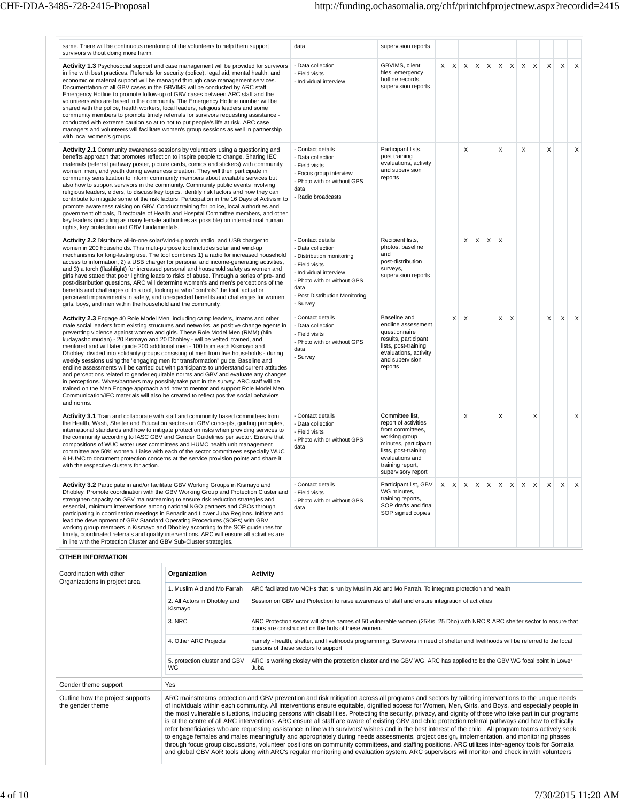| same. There will be continuous mentoring of the volunteers to help them support<br>survivors without doing more harm.                                                                                                                                                                                                                                                                                                                                                                                                                                                                                                                                                                                                                                                                                                                                                                                                                                                                                                                                                          | data                                                                                                                                                                                                 | supervision reports                                                                                                                                                                       |          |              |              |         |                           |             |          |          |              |              |          |
|--------------------------------------------------------------------------------------------------------------------------------------------------------------------------------------------------------------------------------------------------------------------------------------------------------------------------------------------------------------------------------------------------------------------------------------------------------------------------------------------------------------------------------------------------------------------------------------------------------------------------------------------------------------------------------------------------------------------------------------------------------------------------------------------------------------------------------------------------------------------------------------------------------------------------------------------------------------------------------------------------------------------------------------------------------------------------------|------------------------------------------------------------------------------------------------------------------------------------------------------------------------------------------------------|-------------------------------------------------------------------------------------------------------------------------------------------------------------------------------------------|----------|--------------|--------------|---------|---------------------------|-------------|----------|----------|--------------|--------------|----------|
| <b>Activity 1.3</b> Psychosocial support and case management will be provided for survivors<br>in line with best practices. Referrals for security (police), legal aid, mental health, and<br>economic or material support will be managed through case management services.<br>Documentation of all GBV cases in the GBVIMS will be conducted by ARC staff.<br>Emergency Hotline to promote follow-up of GBV cases between ARC staff and the<br>volunteers who are based in the community. The Emergency Hotline number will be<br>shared with the police, health workers, local leaders, religious leaders and some<br>community members to promote timely referrals for survivors requesting assistance -<br>conducted with extreme caution so at to not to put people's life at risk. ARC case<br>managers and volunteers will facilitate women's group sessions as well in partnership<br>with local women's groups.                                                                                                                                                      | - Data collection<br>- Field visits<br>- Individual interview                                                                                                                                        | GBVIMS, client<br>files, emergency<br>hotline records,<br>supervision reports                                                                                                             | $\times$ | $\times$     | $\mathsf{X}$ |         | $X$ $X$ $X$               | $\times$    | $\times$ | $\times$ | $\times$     | $\times$     | $\times$ |
| Activity 2.1 Community awareness sessions by volunteers using a questioning and<br>benefits approach that promotes reflection to inspire people to change. Sharing IEC<br>materials (referral pathway poster, picture cards, comics and stickers) with community<br>women, men, and youth during awareness creation. They will then participate in<br>community sensitization to inform community members about available services but<br>also how to support survivors in the community. Community public events involving<br>religious leaders, elders, to discuss key topics, identify risk factors and how they can<br>contribute to mitigate some of the risk factors. Participation in the 16 Days of Activism to<br>promote awareness raising on GBV. Conduct training for police, local authorities and<br>government officials, Directorate of Health and Hospital Committee members, and other<br>key leaders (including as many female authorities as possible) on international human<br>rights, key protection and GBV fundamentals.                              | - Contact details<br>- Data collection<br>- Field visits<br>- Focus group interview<br>- Photo with or without GPS<br>data<br>- Radio broadcasts                                                     | Participant lists,<br>post training<br>evaluations, activity<br>and supervision<br>reports                                                                                                |          |              | X            |         | X                         |             | X        |          | $\mathsf{x}$ |              | X        |
| Activity 2.2 Distribute all-in-one solar/wind-up torch, radio, and USB charger to<br>women in 200 households. This multi-purpose tool includes solar and wind-up<br>mechanisms for long-lasting use. The tool combines 1) a radio for increased household<br>access to information, 2) a USB charger for personal and income-generating activities,<br>and 3) a torch (flashlight) for increased personal and household safety as women and<br>girls have stated that poor lighting leads to risks of abuse. Through a series of pre- and<br>post-distribution questions, ARC will determine women's and men's perceptions of the<br>benefits and challenges of this tool, looking at who "controls" the tool, actual or<br>perceived improvements in safety, and unexpected benefits and challenges for women,<br>girls, boys, and men within the household and the community.                                                                                                                                                                                                | - Contact details<br>- Data collection<br>- Distribution monitoring<br>- Field visits<br>- Individual interview<br>- Photo with or without GPS<br>data<br>- Post Distribution Monitoring<br>- Survey | Recipient lists,<br>photos, baseline<br>and<br>post-distribution<br>surveys,<br>supervision reports                                                                                       |          |              | X            | $X$ $X$ | $\boldsymbol{\mathsf{X}}$ |             |          |          |              |              |          |
| Activity 2.3 Engage 40 Role Model Men, including camp leaders, Imams and other<br>male social leaders from existing structures and networks, as positive change agents in<br>preventing violence against women and girls. These Role Model Men (RMM) (Nin<br>kudayasho mudan) - 20 Kismayo and 20 Dhobley - will be vetted, trained, and<br>mentored and will later guide 200 additional men - 100 from each Kismayo and<br>Dhobley, divided into solidarity groups consisting of men from five households - during<br>weekly sessions using the "engaging men for transformation" guide. Baseline and<br>endline assessments will be carried out with participants to understand current attitudes<br>and perceptions related to gender equitable norms and GBV and evaluate any changes<br>in perceptions. Wives/partners may possibly take part in the survey. ARC staff will be<br>trained on the Men Engage approach and how to mentor and support Role Model Men.<br>Communication/IEC materials will also be created to reflect positive social behaviors<br>and norms. | - Contact details<br>- Data collection<br>- Field visits<br>- Photo with or without GPS<br>data<br>- Survey                                                                                          | Baseline and<br>endline assessment<br>questionnaire<br>results, participant<br>lists, post-training<br>evaluations, activity<br>and supervision<br>reports                                |          | $\times$     | $\mathsf{x}$ |         | X                         | $\times$    |          |          | $\mathsf{x}$ | $\mathsf{X}$ | $\times$ |
| Activity 3.1 Train and collaborate with staff and community based committees from<br>the Health, Wash, Shelter and Education sectors on GBV concepts, quiding principles,<br>international standards and how to mitigate protection risks when providing services to<br>the community according to IASC GBV and Gender Guidelines per sector. Ensure that<br>compositions of WUC water user committees and HUMC health unit management<br>committee are 50% women. Liaise with each of the sector committees especially WUC<br>& HUMC to document protection concerns at the service provision points and share it<br>with the respective clusters for action.                                                                                                                                                                                                                                                                                                                                                                                                                 | - Contact details<br>- Data collection<br>- Field visits<br>- Photo with or without GPS<br>data                                                                                                      | Committee list.<br>report of activities<br>from committees,<br>working group<br>minutes, participant<br>lists, post-training<br>evaluations and<br>training report,<br>supervisory report |          |              | X            |         | Χ                         |             |          | X        |              |              | X        |
| Activity 3.2 Participate in and/or facilitate GBV Working Groups in Kismayo and<br>Dhobley. Promote coordination with the GBV Working Group and Protection Cluster and<br>strengthen capacity on GBV mainstreaming to ensure risk reduction strategies and<br>essential, minimum interventions among national NGO partners and CBOs through<br>participating in coordination meetings in Benadir and Lower Juba Regions. Initiate and<br>lead the development of GBV Standard Operating Procedures (SOPs) with GBV<br>working group members in Kismayo and Dhobley according to the SOP guidelines for<br>timely, coordinated referrals and quality interventions. ARC will ensure all activities are<br>in line with the Protection Cluster and GBV Sub-Cluster strategies.                                                                                                                                                                                                                                                                                                   | - Contact details<br>- Field visits<br>- Photo with or without GPS<br>data                                                                                                                           | Participant list. GBV<br>WG minutes.<br>training reports,<br>SOP drafts and final<br>SOP signed copies                                                                                    | $\times$ | $\mathsf{X}$ | $\mathsf{X}$ | $X$ $X$ | $\boldsymbol{\mathsf{x}}$ | $\mathsf X$ | $\times$ | $\times$ | $\mathsf{x}$ | $\mathsf{x}$ | $\times$ |
| OTHER INFORMATION                                                                                                                                                                                                                                                                                                                                                                                                                                                                                                                                                                                                                                                                                                                                                                                                                                                                                                                                                                                                                                                              |                                                                                                                                                                                                      |                                                                                                                                                                                           |          |              |              |         |                           |             |          |          |              |              |          |

| Coordination with other<br>Organizations in project area | Organization                            | <b>Activity</b>                                                                                                                                                                                                                                                                                                                                                                                                                                                                                                                                                                                                                                                                                                                                                                                                                                                                                                                                                                                                                                                                                                                                                                                                                               |
|----------------------------------------------------------|-----------------------------------------|-----------------------------------------------------------------------------------------------------------------------------------------------------------------------------------------------------------------------------------------------------------------------------------------------------------------------------------------------------------------------------------------------------------------------------------------------------------------------------------------------------------------------------------------------------------------------------------------------------------------------------------------------------------------------------------------------------------------------------------------------------------------------------------------------------------------------------------------------------------------------------------------------------------------------------------------------------------------------------------------------------------------------------------------------------------------------------------------------------------------------------------------------------------------------------------------------------------------------------------------------|
|                                                          | 1. Muslim Aid and Mo Farrah             | ARC faciliated two MCHs that is run by Muslim Aid and Mo Farrah. To integrate protection and health                                                                                                                                                                                                                                                                                                                                                                                                                                                                                                                                                                                                                                                                                                                                                                                                                                                                                                                                                                                                                                                                                                                                           |
|                                                          | 2. All Actors in Dhobley and<br>Kismayo | Session on GBV and Protection to raise awareness of staff and ensure integration of activities                                                                                                                                                                                                                                                                                                                                                                                                                                                                                                                                                                                                                                                                                                                                                                                                                                                                                                                                                                                                                                                                                                                                                |
|                                                          | 3. NRC                                  | ARC Protection sector will share names of 50 vulnerable women (25Kis, 25 Dho) with NRC & ARC shelter sector to ensure that<br>doors are constructed on the huts of these women.                                                                                                                                                                                                                                                                                                                                                                                                                                                                                                                                                                                                                                                                                                                                                                                                                                                                                                                                                                                                                                                               |
|                                                          | 4. Other ARC Projects                   | namely - health, shelter, and livelihoods programming. Survivors in need of shelter and livelihoods will be referred to the focal<br>persons of these sectors fo support                                                                                                                                                                                                                                                                                                                                                                                                                                                                                                                                                                                                                                                                                                                                                                                                                                                                                                                                                                                                                                                                      |
|                                                          | 5. protection cluster and GBV<br>WG     | ARC is working closley with the protection cluster and the GBV WG. ARC has applied to be the GBV WG focal point in Lower<br>Juba                                                                                                                                                                                                                                                                                                                                                                                                                                                                                                                                                                                                                                                                                                                                                                                                                                                                                                                                                                                                                                                                                                              |
| Gender theme support                                     | Yes                                     |                                                                                                                                                                                                                                                                                                                                                                                                                                                                                                                                                                                                                                                                                                                                                                                                                                                                                                                                                                                                                                                                                                                                                                                                                                               |
| Outline how the project supports<br>the gender theme     |                                         | ARC mainstreams protection and GBV prevention and risk mitigation across all programs and sectors by tailoring interventions to the unique needs<br>of individuals within each community. All interventions ensure equitable, dignified access for Women, Men, Girls, and Boys, and especially people in<br>the most vulnerable situations, including persons with disabilities. Protecting the security, privacy, and dignity of those who take part in our programs<br>is at the centre of all ARC interventions. ARC ensure all staff are aware of existing GBV and child protection referral pathways and how to ethically<br>refer beneficiaries who are requesting assistance in line with survivors' wishes and in the best interest of the child. All program teams actively seek<br>to engage females and males meaningfully and appropriately during needs assessments, project design, implementation, and monitoring phases<br>through focus group discussions, volunteer positions on community committees, and staffing positions. ARC utilizes inter-agency tools for Somalia<br>and global GBV AoR tools along with ARC's regular monitoring and evaluation system. ARC supervisors will monitor and check in with volunteers |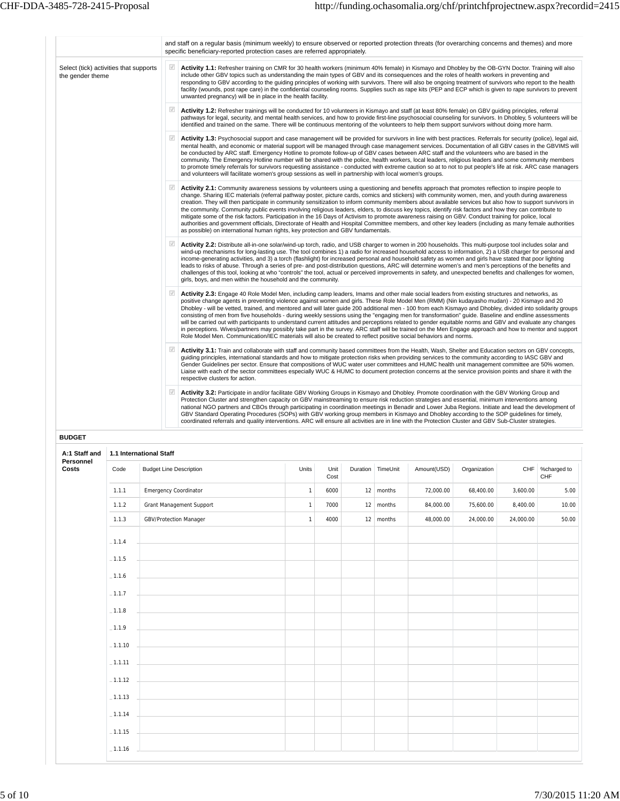|                                                            | and staff on a regular basis (minimum weekly) to ensure observed or reported protection threats (for overarching concerns and themes) and more<br>specific beneficiary-reported protection cases are referred appropriately.                                                                                                                                                                                                                                                                                                                                                                                                                                                                                                                                                                                                                                                                                                                                                                                                                                               |
|------------------------------------------------------------|----------------------------------------------------------------------------------------------------------------------------------------------------------------------------------------------------------------------------------------------------------------------------------------------------------------------------------------------------------------------------------------------------------------------------------------------------------------------------------------------------------------------------------------------------------------------------------------------------------------------------------------------------------------------------------------------------------------------------------------------------------------------------------------------------------------------------------------------------------------------------------------------------------------------------------------------------------------------------------------------------------------------------------------------------------------------------|
| Select (tick) activities that supports<br>the gender theme | $\sqrt{ }$<br>Activity 1.1: Refresher training on CMR for 30 health workers (minimum 40% female) in Kismayo and Dhobley by the OB-GYN Doctor. Training will also<br>include other GBV topics such as understanding the main types of GBV and its consequences and the roles of health workers in preventing and<br>responding to GBV according to the guiding principles of working with survivors. There will also be ongoing treatment of survivors who report to the health<br>facility (wounds, post rape care) in the confidential counseling rooms. Supplies such as rape kits (PEP and ECP which is given to rape survivors to prevent<br>unwanted pregnancy) will be in place in the health facility.                                                                                                                                                                                                                                                                                                                                                              |
|                                                            | $\sqrt{}$<br>Activity 1.2: Refresher trainings will be conducted for 10 volunteers in Kismayo and staff (at least 80% female) on GBV guiding principles, referral<br>pathways for legal, security, and mental health services, and how to provide first-line psychosocial counseling for survivors. In Dhobley, 5 volunteers will be<br>identified and trained on the same. There will be continuous mentoring of the volunteers to help them support survivors without doing more harm.                                                                                                                                                                                                                                                                                                                                                                                                                                                                                                                                                                                   |
|                                                            | Activity 1.3: Psychosocial support and case management will be provided for survivors in line with best practices. Referrals for security (police), legal aid,<br>mental health, and economic or material support will be managed through case management services. Documentation of all GBV cases in the GBVIMS will<br>be conducted by ARC staff. Emergency Hotline to promote follow-up of GBV cases between ARC staff and the volunteers who are based in the<br>community. The Emergency Hotline number will be shared with the police, health workers, local leaders, religious leaders and some community members<br>to promote timely referrals for survivors requesting assistance - conducted with extreme caution so at to not to put people's life at risk. ARC case managers<br>and volunteers will facilitate women's group sessions as well in partnership with local women's groups.                                                                                                                                                                       |
|                                                            | $\sqrt{ }$<br>Activity 2.1: Community awareness sessions by volunteers using a questioning and benefits approach that promotes reflection to inspire people to<br>change. Sharing IEC materials (referral pathway poster, picture cards, comics and stickers) with community women, men, and youth during awareness<br>creation. They will then participate in community sensitization to inform community members about available services but also how to support survivors in<br>the community. Community public events involving religious leaders, elders, to discuss key topics, identify risk factors and how they can contribute to<br>mitigate some of the risk factors. Participation in the 16 Days of Activism to promote awareness raising on GBV. Conduct training for police, local<br>authorities and government officials, Directorate of Health and Hospital Committee members, and other key leaders (including as many female authorities<br>as possible) on international human rights, key protection and GBV fundamentals.                          |
|                                                            | $\sqrt{}$<br>Activity 2.2: Distribute all-in-one solar/wind-up torch, radio, and USB charger to women in 200 households. This multi-purpose tool includes solar and<br>wind-up mechanisms for long-lasting use. The tool combines 1) a radio for increased household access to information, 2) a USB charger for personal and<br>income-generating activities, and 3) a torch (flashlight) for increased personal and household safety as women and girls have stated that poor lighting<br>leads to risks of abuse. Through a series of pre- and post-distribution questions, ARC will determine women's and men's perceptions of the benefits and<br>challenges of this tool, looking at who "controls" the tool, actual or perceived improvements in safety, and unexpected benefits and challenges for women,<br>girls, boys, and men within the household and the community.                                                                                                                                                                                          |
|                                                            | $\sqrt{}$<br>Activity 2.3: Engage 40 Role Model Men, including camp leaders, Imams and other male social leaders from existing structures and networks, as<br>positive change agents in preventing violence against women and girls. These Role Model Men (RMM) (Nin kudayasho mudan) - 20 Kismayo and 20<br>Dhobley - will be vetted, trained, and mentored and will later quide 200 additional men - 100 from each Kismayo and Dhobley, divided into solidarity groups<br>consisting of men from five households - during weekly sessions using the "engaging men for transformation" guide. Baseline and endline assessments<br>will be carried out with participants to understand current attitudes and perceptions related to gender equitable norms and GBV and evaluate any changes<br>in perceptions. Wives/partners may possibly take part in the survey. ARC staff will be trained on the Men Engage approach and how to mentor and support<br>Role Model Men. Communication/IEC materials will also be created to reflect positive social behaviors and norms. |
|                                                            | $\sqrt{2}$<br>Activity 3.1: Train and collaborate with staff and community based committees from the Health, Wash, Shelter and Education sectors on GBV concepts,<br>guiding principles, international standards and how to mitigate protection risks when providing services to the community according to IASC GBV and<br>Gender Guidelines per sector. Ensure that compositions of WUC water user committees and HUMC health unit management committee are 50% women.<br>Liaise with each of the sector committees especially WUC & HUMC to document protection concerns at the service provision points and share it with the<br>respective clusters for action.                                                                                                                                                                                                                                                                                                                                                                                                       |
|                                                            | $\sqrt{ }$<br>Activity 3.2: Participate in and/or facilitate GBV Working Groups in Kismayo and Dhobley. Promote coordination with the GBV Working Group and<br>Protection Cluster and strengthen capacity on GBV mainstreaming to ensure risk reduction strategies and essential, minimum interventions among<br>national NGO partners and CBOs through participating in coordination meetings in Benadir and Lower Juba Regions. Initiate and lead the development of<br>GBV Standard Operating Procedures (SOPs) with GBV working group members in Kismayo and Dhobley according to the SOP guidelines for timely,<br>coordinated referrals and quality interventions. ARC will ensure all activities are in line with the Protection Cluster and GBV Sub-Cluster strategies.                                                                                                                                                                                                                                                                                            |

| A:1 Staff and<br>Personnel |           | 1.1 International Staff                                                    |              |              |                     |             |              |           |                    |
|----------------------------|-----------|----------------------------------------------------------------------------|--------------|--------------|---------------------|-------------|--------------|-----------|--------------------|
| Costs                      | Code      | <b>Budget Line Description</b>                                             | Units        | Unit<br>Cost | Duration   TimeUnit | Amount(USD) | Organization | CHF       | %charged to<br>CHF |
|                            | 1.1.1     | Emergency Coordinator                                                      | $\mathbf{1}$ | 6000         | $12$ months         | 72,000.00   | 68,400.00    | 3,600.00  | 5.00               |
|                            | 1.1.2     | Grant Management Support                                                   | $\mathbf{1}$ | 7000         | $12 \mid$ months    | 84,000.00   | 75,600.00    | 8,400.00  | 10.00              |
|                            | 1.1.3     | GBV/Protection Manager                                                     | $\mathbf{1}$ | 4000         | $12 \mid$ months    | 48,000.00   | 24,000.00    | 24,000.00 | 50.00              |
|                            | $-1.1.4$  |                                                                            |              |              |                     |             |              |           |                    |
|                            | $-1.1.5$  |                                                                            |              |              |                     |             |              |           |                    |
|                            | $-1.1.6$  |                                                                            |              |              |                     |             |              |           |                    |
|                            | $-1.1.7$  |                                                                            |              |              |                     |             |              |           |                    |
|                            | $-1.1.8$  |                                                                            |              |              |                     |             |              |           |                    |
|                            | $-1.1.9$  | the control of the control of the control of the control of                |              |              |                     |             |              |           |                    |
|                            | $-1.1.10$ | the control of the control of the control of the control of the control of |              |              |                     |             |              |           |                    |
|                            | $-1.1.11$ | the control of the control of the control of the control of the control of |              |              |                     |             |              |           |                    |
|                            | $-1.1.12$ | <u> 1989 - Johann Harry Barn, mars ar breist fan de Fryske k</u>           |              |              |                     |             |              |           |                    |
|                            | $-1.1.13$ |                                                                            |              |              |                     |             |              |           |                    |
|                            | $-1.1.14$ |                                                                            |              |              |                     |             |              |           |                    |
|                            | $-1.1.15$ |                                                                            |              |              |                     |             |              |           |                    |
|                            | $-1.1.16$ |                                                                            |              |              |                     |             |              |           |                    |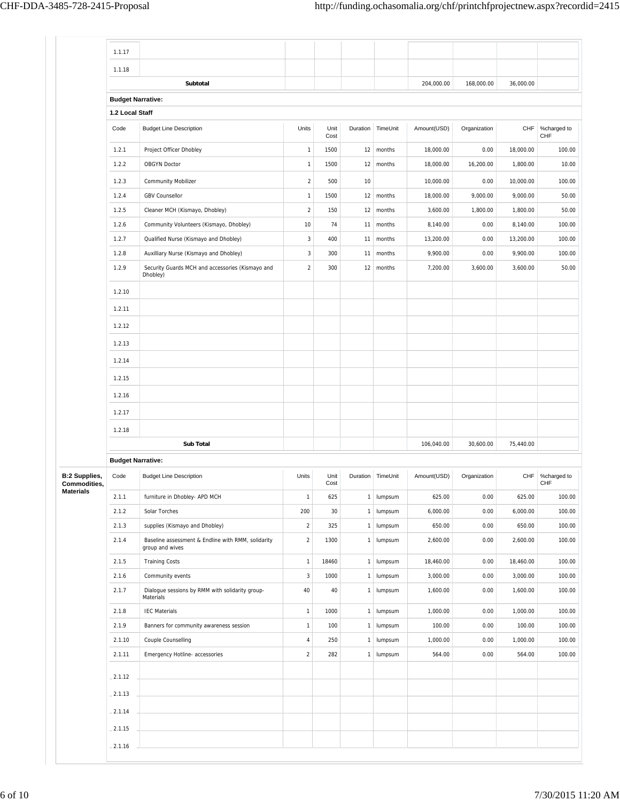|                           | 1.1.17                   |                                                                       |              |              |              |                   |             |              |           |                    |
|---------------------------|--------------------------|-----------------------------------------------------------------------|--------------|--------------|--------------|-------------------|-------------|--------------|-----------|--------------------|
|                           | 1.1.18                   |                                                                       |              |              |              |                   |             |              |           |                    |
|                           |                          | Subtotal                                                              |              |              |              |                   | 204,000.00  | 168,000.00   | 36,000.00 |                    |
|                           | <b>Budget Narrative:</b> |                                                                       |              |              |              |                   |             |              |           |                    |
|                           | 1.2 Local Staff          |                                                                       |              |              |              |                   |             |              |           |                    |
|                           | Code                     | <b>Budget Line Description</b>                                        | Units        | Unit<br>Cost |              | Duration TimeUnit | Amount(USD) | Organization | CHF       | %charged to<br>CHF |
|                           | 1.2.1                    | Project Officer Dhobley                                               | $\mathbf{1}$ | 1500         | 12           | months            | 18,000.00   | 0.00         | 18,000.00 | 100.00             |
|                           | 1.2.2                    | <b>OBGYN Doctor</b>                                                   | $\mathbf{1}$ | 1500         | 12           | months            | 18,000.00   | 16,200.00    | 1,800.00  | 10.00              |
|                           | 1.2.3                    | <b>Community Mobilizer</b>                                            | $\sqrt{2}$   | 500          | 10           |                   | 10,000.00   | 0.00         | 10,000.00 | 100.00             |
|                           | 1.2.4                    | <b>GBV Counsellor</b>                                                 | $\mathbf{1}$ | 1500         | 12           | months            | 18,000.00   | 9,000.00     | 9,000.00  | 50.00              |
|                           | 1.2.5                    | Cleaner MCH (Kismayo, Dhobley)                                        | $\sqrt{2}$   | 150          | 12           | months            | 3,600.00    | 1,800.00     | 1,800.00  | 50.00              |
|                           | 1.2.6                    | Community Volunteers (Kismayo, Dhobley)                               | 10           | 74           | 11           | months            | 8,140.00    | 0.00         | 8,140.00  | 100.00             |
|                           | 1.2.7                    | Qualified Nurse (Kismayo and Dhobley)                                 | $\sqrt{3}$   | 400          | 11           | months            | 13,200.00   | 0.00         | 13,200.00 | 100.00             |
|                           | 1.2.8                    | Auxilliary Nurse (Kismayo and Dhobley)                                | $\sqrt{3}$   | 300          | 11           | months            | 9,900.00    | 0.00         | 9,900.00  | 100.00             |
|                           | 1.2.9                    | Security Guards MCH and accessories (Kismayo and<br>Dhobley)          | $\sqrt{2}$   | 300          | 12           | months            | 7,200.00    | 3,600.00     | 3,600.00  | 50.00              |
|                           | 1.2.10                   |                                                                       |              |              |              |                   |             |              |           |                    |
|                           | 1.2.11                   |                                                                       |              |              |              |                   |             |              |           |                    |
|                           | 1.2.12                   |                                                                       |              |              |              |                   |             |              |           |                    |
|                           | 1.2.13                   |                                                                       |              |              |              |                   |             |              |           |                    |
|                           | 1.2.14                   |                                                                       |              |              |              |                   |             |              |           |                    |
|                           | 1.2.15                   |                                                                       |              |              |              |                   |             |              |           |                    |
|                           | 1.2.16                   |                                                                       |              |              |              |                   |             |              |           |                    |
|                           | 1.2.17                   |                                                                       |              |              |              |                   |             |              |           |                    |
|                           | 1.2.18                   |                                                                       |              |              |              |                   |             |              |           |                    |
|                           |                          | Sub Total                                                             |              |              |              |                   | 106,040.00  | 30,600.00    | 75,440.00 |                    |
|                           | <b>Budget Narrative:</b> |                                                                       |              |              |              |                   |             |              |           |                    |
| <b>B:2 Supplies,</b>      | Code                     | <b>Budget Line Description</b>                                        | Units        | Unit         |              | Duration TimeUnit | Amount(USD) | Organization | CHF       | %charged to        |
| Commodities,<br>Materials |                          |                                                                       |              | Cost         |              |                   |             |              |           | CHF                |
|                           | 2.1.1                    | furniture in Dhobley- APD MCH                                         | $\mathbf{1}$ | 625          |              | 1 lumpsum         | 625.00      | 0.00         | 625.00    | 100.00             |
|                           | 2.1.2                    | Solar Torches                                                         | 200          | 30           |              | 1 lumpsum         | 6,000.00    | 0.00         | 6,000.00  | 100.00             |
|                           | 2.1.3                    | supplies (Kismayo and Dhobley)                                        | $\sqrt{2}$   | 325          | $\mathbf{1}$ | lumpsum           | 650.00      | 0.00         | 650.00    | 100.00             |
|                           | 2.1.4                    | Baseline assessment & Endline with RMM, solidarity<br>group and wives | $\sqrt{2}$   | 1300         | $\mathbf{1}$ | lumpsum           | 2,600.00    | 0.00         | 2,600.00  | 100.00             |
|                           | 2.1.5                    | <b>Training Costs</b>                                                 | $\mathbf{1}$ | 18460        | $\mathbf{1}$ | lumpsum           | 18,460.00   | 0.00         | 18,460.00 | 100.00             |
|                           | 2.1.6                    | Community events                                                      | $\sqrt{3}$   | 1000         |              | 1 lumpsum         | 3,000.00    | 0.00         | 3,000.00  | 100.00             |
|                           | 2.1.7                    | Dialogue sessions by RMM with solidarity group-<br>Materials          | 40           | 40           |              | 1 lumpsum         | 1,600.00    | 0.00         | 1,600.00  | 100.00             |
|                           | 2.1.8                    | <b>IEC Materials</b>                                                  | $\mathbf{1}$ | 1000         |              | 1 lumpsum         | 1,000.00    | 0.00         | 1,000.00  | 100.00             |
|                           | 2.1.9                    | Banners for community awareness session                               | $\mathbf{1}$ | 100          | $\mathbf{1}$ | lumpsum           | 100.00      | 0.00         | 100.00    | 100.00             |
|                           | 2.1.10                   | Couple Counselling                                                    | $\sqrt{4}$   | 250          | 1            | lumpsum           | 1,000.00    | 0.00         | 1,000.00  | 100.00             |
|                           | 2.1.11                   | Emergency Hotline- accessories                                        | $\sqrt{2}$   | 282          |              | 1 lumpsum         | 564.00      | 0.00         | 564.00    | 100.00             |
|                           | $-2.1.12$                |                                                                       |              |              |              |                   |             |              |           |                    |
|                           | $-2.1.13$                |                                                                       |              |              |              |                   |             |              |           |                    |
|                           | $-2.1.14$                |                                                                       |              |              |              |                   |             |              |           |                    |
|                           | $-2.1.15$                |                                                                       |              |              |              |                   |             |              |           |                    |
|                           | $-2.1.16$                |                                                                       |              |              |              |                   |             |              |           |                    |
|                           |                          |                                                                       |              |              |              |                   |             |              |           |                    |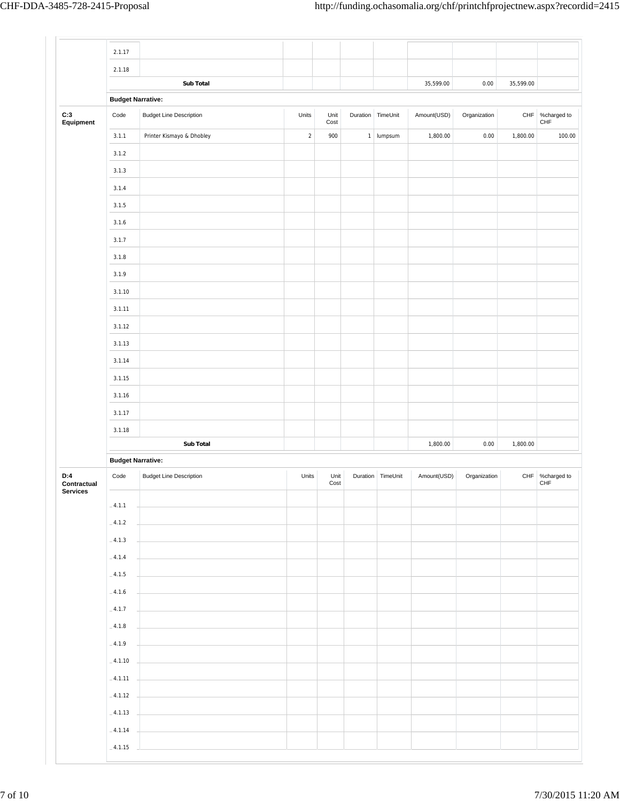|                    | 2.1.17                   |                                |            |              |          |                     |             |              |             |                                |
|--------------------|--------------------------|--------------------------------|------------|--------------|----------|---------------------|-------------|--------------|-------------|--------------------------------|
|                    | 2.1.18                   |                                |            |              |          |                     |             |              |             |                                |
|                    |                          | Sub Total                      |            |              |          |                     | 35,599.00   | 0.00         | 35,599.00   |                                |
|                    | <b>Budget Narrative:</b> |                                |            |              |          |                     |             |              |             |                                |
| C:3<br>Equipment   | Code                     | <b>Budget Line Description</b> | Units      | Unit<br>Cost | Duration | TimeUnit            | Amount(USD) | Organization | ${\sf CHF}$ | %charged to<br>CHF             |
|                    | 3.1.1                    | Printer Kismayo & Dhobley      | $\sqrt{2}$ | 900          |          | 1 lumpsum           | 1,800.00    | 0.00         | 1,800.00    | 100.00                         |
|                    | 3.1.2                    |                                |            |              |          |                     |             |              |             |                                |
|                    | 3.1.3                    |                                |            |              |          |                     |             |              |             |                                |
|                    | 3.1.4                    |                                |            |              |          |                     |             |              |             |                                |
|                    | 3.1.5                    |                                |            |              |          |                     |             |              |             |                                |
|                    | 3.1.6                    |                                |            |              |          |                     |             |              |             |                                |
|                    | 3.1.7                    |                                |            |              |          |                     |             |              |             |                                |
|                    | 3.1.8                    |                                |            |              |          |                     |             |              |             |                                |
|                    | 3.1.9                    |                                |            |              |          |                     |             |              |             |                                |
|                    | 3.1.10                   |                                |            |              |          |                     |             |              |             |                                |
|                    | 3.1.11                   |                                |            |              |          |                     |             |              |             |                                |
|                    | 3.1.12                   |                                |            |              |          |                     |             |              |             |                                |
|                    | 3.1.13                   |                                |            |              |          |                     |             |              |             |                                |
|                    | 3.1.14                   |                                |            |              |          |                     |             |              |             |                                |
|                    | 3.1.15                   |                                |            |              |          |                     |             |              |             |                                |
|                    | 3.1.16                   |                                |            |              |          |                     |             |              |             |                                |
|                    | 3.1.17                   |                                |            |              |          |                     |             |              |             |                                |
|                    | 3.1.18                   |                                |            |              |          |                     |             |              |             |                                |
|                    |                          | <b>Sub Total</b>               |            |              |          |                     | 1,800.00    | 0.00         | 1,800.00    |                                |
|                    | <b>Budget Narrative:</b> |                                |            |              |          |                     |             |              |             |                                |
| D:4<br>Contractual | Code                     | <b>Budget Line Description</b> | Units      | Unit<br>Cost |          | Duration   TimeUnit | Amount(USD) | Organization |             | CHF %charged to<br>${\sf CHF}$ |
| Services           | $-4.1.1$                 |                                |            |              |          |                     |             |              |             |                                |
|                    | $-4.1.2$                 |                                |            |              |          |                     |             |              |             |                                |
|                    | $-4.1.3$                 |                                |            |              |          |                     |             |              |             |                                |
|                    | $-4.1.4$                 |                                |            |              |          |                     |             |              |             |                                |
|                    |                          |                                |            |              |          |                     |             |              |             |                                |
|                    | $-4.1.5$                 |                                |            |              |          |                     |             |              |             |                                |
|                    | $\_4.1.6$                |                                |            |              |          |                     |             |              |             |                                |
|                    | $-4.1.7$                 |                                |            |              |          |                     |             |              |             |                                |
|                    | $-4.1.8$                 |                                |            |              |          |                     |             |              |             |                                |
|                    | $-4.1.9$                 |                                |            |              |          |                     |             |              |             |                                |
|                    | $-4.1.10$                |                                |            |              |          |                     |             |              |             |                                |
|                    | $-4.1.11$                |                                |            |              |          |                     |             |              |             |                                |
|                    | $-4.1.12$                |                                |            |              |          |                     |             |              |             |                                |
|                    | $-4.1.13$                |                                |            |              |          |                     |             |              |             |                                |
|                    | $-4.1.14$                |                                |            |              |          |                     |             |              |             |                                |
|                    | $-4.1.15$                |                                |            |              |          |                     |             |              |             |                                |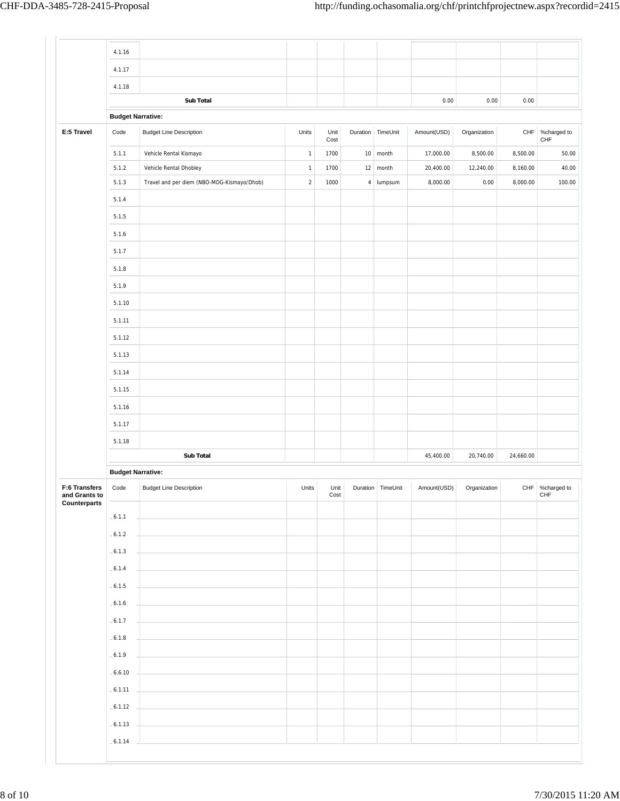|                                | 4.1.16                   |                                            |                |              |                        |             |              |           |                        |
|--------------------------------|--------------------------|--------------------------------------------|----------------|--------------|------------------------|-------------|--------------|-----------|------------------------|
|                                | 4.1.17                   |                                            |                |              |                        |             |              |           |                        |
|                                | 4.1.18                   |                                            |                |              |                        |             |              |           |                        |
|                                |                          | <b>Sub Total</b>                           |                |              |                        | 0.00        | 0.00         | 0.00      |                        |
|                                | <b>Budget Narrative:</b> |                                            |                |              |                        |             |              |           |                        |
| E:5 Travel                     | Code                     | <b>Budget Line Description</b>             | Units          | Unit<br>Cost | Duration TimeUnit      | Amount(USD) | Organization | CHF       | %charged to<br>CHF     |
|                                | 5.1.1                    | Vehicle Rental Kismayo                     | $\mathbf{1}$   | 1700         | $10$ month             | 17,000.00   | 8,500.00     | 8,500.00  | 50.00                  |
|                                | 5.1.2                    | Vehicle Rental Dhobley                     | $\overline{1}$ | 1700         | $12 \mid \text{month}$ | 20,400.00   | 12,240.00    | 8,160.00  | 40.00                  |
|                                | 5.1.3                    | Travel and per diem (NBO-MOG-Kismayo/Dhob) | $\sqrt{2}$     | 1000         | 4   lumpsum            | 8,000.00    | 0.00         | 8,000.00  | 100.00                 |
|                                | 5.1.4                    |                                            |                |              |                        |             |              |           |                        |
|                                | 5.1.5                    |                                            |                |              |                        |             |              |           |                        |
|                                | 5.1.6                    |                                            |                |              |                        |             |              |           |                        |
|                                | 5.1.7                    |                                            |                |              |                        |             |              |           |                        |
|                                | 5.1.8                    |                                            |                |              |                        |             |              |           |                        |
|                                | 5.1.9                    |                                            |                |              |                        |             |              |           |                        |
|                                | 5.1.10                   |                                            |                |              |                        |             |              |           |                        |
|                                | 5.1.11                   |                                            |                |              |                        |             |              |           |                        |
|                                | 5.1.12                   |                                            |                |              |                        |             |              |           |                        |
|                                | 5.1.13                   |                                            |                |              |                        |             |              |           |                        |
|                                | 5.1.14                   |                                            |                |              |                        |             |              |           |                        |
|                                | 5.1.15                   |                                            |                |              |                        |             |              |           |                        |
|                                | 5.1.16                   |                                            |                |              |                        |             |              |           |                        |
|                                | 5.1.17                   |                                            |                |              |                        |             |              |           |                        |
|                                | 5.1.18                   |                                            |                |              |                        |             |              |           |                        |
|                                |                          | <b>Sub Total</b>                           |                |              |                        | 45,400.00   | 20,740.00    | 24,660.00 |                        |
|                                | <b>Budget Narrative:</b> |                                            |                |              |                        |             |              |           |                        |
| F:6 Transfers<br>and Grants to | Code                     | <b>Budget Line Description</b>             | Units          | Unit<br>Cost | Duration TimeUnit      | Amount(USD) | Organization |           | CHF %charged to<br>CHF |
| Counterparts                   | $-6.1.1$                 |                                            |                |              |                        |             |              |           |                        |
|                                | $-6.1.2$                 |                                            |                |              |                        |             |              |           |                        |
|                                | $-6.1.3$                 |                                            |                |              |                        |             |              |           |                        |
|                                |                          |                                            |                |              |                        |             |              |           |                        |
|                                | $-6.1.4$                 |                                            |                |              |                        |             |              |           |                        |
|                                | $-6.1.5$                 |                                            |                |              |                        |             |              |           |                        |
|                                | $-6.1.6$                 |                                            |                |              |                        |             |              |           |                        |
|                                | $-6.1.7$                 |                                            |                |              |                        |             |              |           |                        |
|                                | $-6.1.8$                 |                                            |                |              |                        |             |              |           |                        |
|                                | $-6.1.9$                 |                                            |                |              |                        |             |              |           |                        |
|                                | $-6.6.10$                |                                            |                |              |                        |             |              |           |                        |
|                                | $-6.1.11$                |                                            |                |              |                        |             |              |           |                        |
|                                | $-6.1.12$                |                                            |                |              |                        |             |              |           |                        |
|                                |                          |                                            |                |              |                        |             |              |           |                        |
|                                | $-6.1.13$                |                                            |                |              |                        |             |              |           |                        |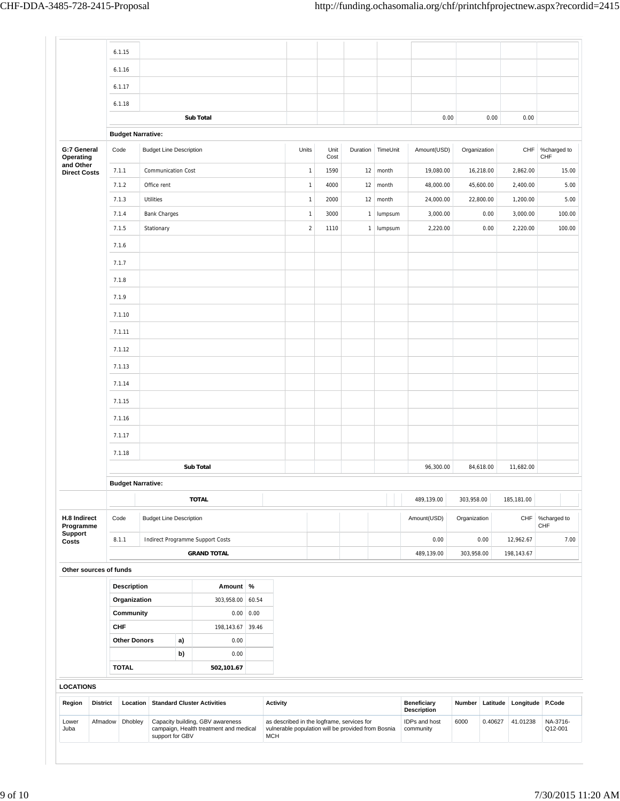|                                                              |                 | 6.1.15                                         |                           |    |                                                                            |                                                                                                                |  |              |              |               |                                          |                        |             |             |                  |                     |            |                                |        |
|--------------------------------------------------------------|-----------------|------------------------------------------------|---------------------------|----|----------------------------------------------------------------------------|----------------------------------------------------------------------------------------------------------------|--|--------------|--------------|---------------|------------------------------------------|------------------------|-------------|-------------|------------------|---------------------|------------|--------------------------------|--------|
|                                                              |                 | 6.1.16                                         |                           |    |                                                                            |                                                                                                                |  |              |              |               |                                          |                        |             |             |                  |                     |            |                                |        |
|                                                              |                 | 6.1.17                                         |                           |    |                                                                            |                                                                                                                |  |              |              |               |                                          |                        |             |             |                  |                     |            |                                |        |
|                                                              |                 | 6.1.18                                         |                           |    |                                                                            |                                                                                                                |  |              |              |               |                                          |                        |             |             |                  |                     |            |                                |        |
|                                                              |                 | <b>Sub Total</b>                               |                           |    |                                                                            |                                                                                                                |  |              |              |               |                                          |                        |             | 0.00        |                  | 0.00                | 0.00       |                                |        |
|                                                              |                 | <b>Budget Narrative:</b>                       |                           |    |                                                                            |                                                                                                                |  |              |              |               |                                          |                        |             |             |                  |                     |            |                                |        |
| G:7 General<br>Operating<br>and Other<br><b>Direct Costs</b> |                 | Code<br><b>Budget Line Description</b>         |                           |    |                                                                            |                                                                                                                |  | Units        | Unit<br>Cost | Duration      |                                          | TimeUnit               |             | Amount(USD) | Organization     |                     |            | CHF %charged to<br>${\sf CHF}$ |        |
|                                                              |                 | 7.1.1                                          | <b>Communication Cost</b> |    |                                                                            |                                                                                                                |  | $\mathbf{1}$ | 1590         |               |                                          | $12 \mid \text{month}$ |             | 19,080.00   |                  | 16,218.00           | 2,862.00   |                                | 15.00  |
|                                                              |                 | 7.1.2                                          | Office rent               |    |                                                                            |                                                                                                                |  | $\mathbf{1}$ | 4000         | 12            |                                          | month                  |             | 48,000.00   |                  | 45,600.00           | 2,400.00   |                                | 5.00   |
|                                                              |                 | 7.1.3                                          | Utilities                 |    |                                                                            |                                                                                                                |  | $\mathbf{1}$ | 2000         | 12            |                                          | month                  |             | 24,000.00   |                  | 22,800.00           | 1,200.00   |                                | 5.00   |
|                                                              |                 | 7.1.4                                          | <b>Bank Charges</b>       |    |                                                                            |                                                                                                                |  | $\mathbf{1}$ | 3000         | lumpsum<br>1  |                                          |                        |             | 3,000.00    |                  | 0.00                | 3,000.00   |                                | 100.00 |
|                                                              |                 | 7.1.5                                          | Stationary                |    |                                                                            |                                                                                                                |  | $\sqrt{2}$   | 1110         | 1 lumpsum     |                                          |                        |             | 2,220.00    |                  | 0.00                | 2,220.00   |                                | 100.00 |
|                                                              |                 | 7.1.6                                          |                           |    |                                                                            |                                                                                                                |  |              |              |               |                                          |                        |             |             |                  |                     |            |                                |        |
|                                                              |                 | 7.1.7                                          |                           |    |                                                                            |                                                                                                                |  |              |              |               |                                          |                        |             |             |                  |                     |            |                                |        |
|                                                              |                 | 7.1.8                                          |                           |    |                                                                            |                                                                                                                |  |              |              |               |                                          |                        |             |             |                  |                     |            |                                |        |
|                                                              |                 | 7.1.9                                          |                           |    |                                                                            |                                                                                                                |  |              |              |               |                                          |                        |             |             |                  |                     |            |                                |        |
|                                                              |                 | 7.1.10                                         |                           |    |                                                                            |                                                                                                                |  |              |              |               |                                          |                        |             |             |                  |                     |            |                                |        |
|                                                              |                 | 7.1.11                                         |                           |    |                                                                            |                                                                                                                |  |              |              |               |                                          |                        |             |             |                  |                     |            |                                |        |
|                                                              |                 | 7.1.12                                         |                           |    |                                                                            |                                                                                                                |  |              |              |               |                                          |                        |             |             |                  |                     |            |                                |        |
|                                                              |                 | 7.1.13                                         |                           |    |                                                                            |                                                                                                                |  |              |              |               |                                          |                        |             |             |                  |                     |            |                                |        |
|                                                              |                 | 7.1.14                                         |                           |    |                                                                            |                                                                                                                |  |              |              |               |                                          |                        |             |             |                  |                     |            |                                |        |
|                                                              |                 | 7.1.15                                         |                           |    |                                                                            |                                                                                                                |  |              |              |               |                                          |                        |             |             |                  |                     |            |                                |        |
|                                                              |                 | 7.1.16                                         |                           |    |                                                                            |                                                                                                                |  |              |              |               |                                          |                        |             |             |                  |                     |            |                                |        |
|                                                              |                 | 7.1.17                                         |                           |    |                                                                            |                                                                                                                |  |              |              |               |                                          |                        |             |             |                  |                     |            |                                |        |
|                                                              |                 | 7.1.18                                         |                           |    |                                                                            |                                                                                                                |  |              |              |               |                                          |                        |             |             |                  |                     |            |                                |        |
|                                                              |                 | Sub Total                                      |                           |    |                                                                            |                                                                                                                |  |              |              |               |                                          |                        |             | 96,300.00   |                  | 84,618.00           | 11,682.00  |                                |        |
|                                                              |                 | <b>Budget Narrative:</b>                       |                           |    |                                                                            |                                                                                                                |  |              |              |               |                                          |                        |             |             |                  |                     |            |                                |        |
|                                                              |                 |                                                |                           |    | <b>TOTAL</b>                                                               |                                                                                                                |  |              |              |               |                                          |                        | 489,139.00  |             | 303,958.00       |                     | 185,181.00 |                                |        |
| H.8 Indirect<br>Programme                                    |                 | Code<br><b>Budget Line Description</b>         |                           |    |                                                                            |                                                                                                                |  |              |              |               |                                          |                        | Amount(USD) |             | Organization     |                     | CHF        | %charged to<br>CHF             |        |
| <b>Support</b><br>Costs                                      |                 | 8.1.1<br>Indirect Programme Support Costs      |                           |    |                                                                            |                                                                                                                |  |              |              |               |                                          |                        | 0.00        | 0.00        |                  | 12,962.67           |            | 7.00                           |        |
|                                                              |                 | <b>GRAND TOTAL</b>                             |                           |    |                                                                            |                                                                                                                |  |              |              |               |                                          |                        | 489,139.00  |             | 303,958.00       |                     | 198,143.67 |                                |        |
| Other sources of funds                                       |                 |                                                |                           |    |                                                                            |                                                                                                                |  |              |              |               |                                          |                        |             |             |                  |                     |            |                                |        |
|                                                              |                 | <b>Description</b>                             |                           |    | Amount %                                                                   |                                                                                                                |  |              |              |               |                                          |                        |             |             |                  |                     |            |                                |        |
|                                                              |                 | Organization                                   |                           |    | 303,958.00                                                                 | 60.54                                                                                                          |  |              |              |               |                                          |                        |             |             |                  |                     |            |                                |        |
|                                                              |                 | Community                                      |                           |    | 0.00                                                                       | 0.00                                                                                                           |  |              |              |               |                                          |                        |             |             |                  |                     |            |                                |        |
|                                                              |                 | <b>CHF</b>                                     |                           |    | 198,143.67                                                                 | 39.46                                                                                                          |  |              |              |               |                                          |                        |             |             |                  |                     |            |                                |        |
|                                                              |                 | <b>Other Donors</b>                            |                           | a) | 0.00                                                                       |                                                                                                                |  |              |              |               |                                          |                        |             |             |                  |                     |            |                                |        |
|                                                              |                 | <b>TOTAL</b>                                   |                           | b) | 0.00<br>502,101.67                                                         |                                                                                                                |  |              |              |               |                                          |                        |             |             |                  |                     |            |                                |        |
|                                                              |                 |                                                |                           |    |                                                                            |                                                                                                                |  |              |              |               |                                          |                        |             |             |                  |                     |            |                                |        |
| <b>LOCATIONS</b>                                             |                 |                                                |                           |    |                                                                            |                                                                                                                |  |              |              |               |                                          |                        |             |             |                  |                     |            |                                |        |
| Region                                                       | <b>District</b> | <b>Standard Cluster Activities</b><br>Location |                           |    | <b>Activity</b>                                                            |                                                                                                                |  |              |              |               | <b>Beneficiary</b><br><b>Description</b> |                        | Number      | Latitude    | Longitude P.Code |                     |            |                                |        |
| Lower<br>Juba                                                | Afmadow         | Dhobley<br>support for GBV                     |                           |    | Capacity building, GBV awareness<br>campaign, Health treatment and medical | as described in the logframe, services for<br>vulnerable population will be provided from Bosnia<br><b>MCH</b> |  |              |              | IDPs and host | community                                | 6000                   | 0.40627     | 41.01238    |                  | NA-3716-<br>Q12-001 |            |                                |        |